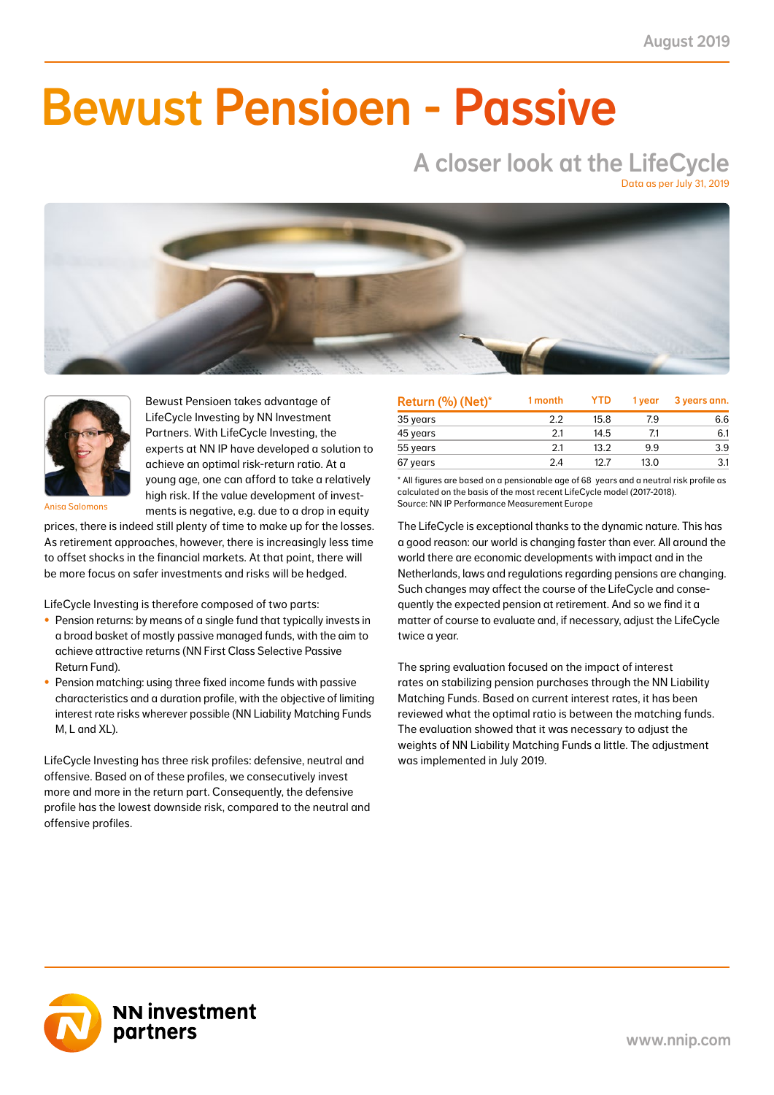NN First Class Selective Passive Return Fund 2.09 0.86 15.33 6.14 6.16 2.62 6.99 2.63 22.47 8.18 41.0

### NN Liability Matching Fund M 0.46 0.18 2.54 1.01 3.37 1.32 0.71 0.26 2.14 0.81 38.0  $\blacksquare$  IIMAAILIA NN Liability Matching Fund XL 7.30 0.79 41.72 4.19 51.38 4.81 3.23 0.50 10.01 1.55 11.0 Bewust Pensioen - Passive

### A closer look at the LifeCycle Data as per July 31, 2019

NN Liability Matching Fund M 0.46 0.15 2.54 0.98 3.37 1.31 0.71 0.27 2.14 0.83 33.0 NN Liability Matching Fund L 3.88 1.82 20.87 8.78 25.58 10.44 3.22 1.47 9.99 4.55 47.0 NN Liability Matching Fund XL 7.30 0.00 41.72 0.00 51.38 0.00 3.23 0.00 10.01 0.00 0.0 TOTAL 2.39 12.72 12.72 12.72 12.72 12.72 12.72 12.72 12.72 12.72 12.72 12.72 12.72 12.72 12.72 12.72 12.72 12.  $\sim$  Over the figures shown in the figures shown in the figures shown in the most recent weighting on the most recent weighting on the most recent weighting of the most recent weighting on the most recent weighting of the This means that the returns shown in the column 'year to date contribution' cannot exactly be derived from this report. The contribution is the contribution to the total net return based on the current weights in the LifeCycle model (2017-2018) Source: NN IP Performance Measurement Europe



Bewust Pensioen takes advantage of LifeCycle Investing by NN Investment Partners. With LifeCycle Investing, the experts at NN IP have developed a solution to achieve an optimal risk-return ratio. At a young age, one can afford to take a relatively high risk. If the value development of investments is negative, e.g. due to a drop in equity

Anisa Salomons

prices, there is indeed still plenty of time to make up for the losses. As retirement approaches, however, there is increasingly less time to offset shocks in the financial markets. At that point, there will be more focus on safer investments and risks will be hedged.

LifeCycle Investing is therefore composed of two parts:

- Pension returns: by means of a single fund that typically invests in a broad basket of mostly passive managed funds, with the aim to achieve attractive returns (NN First Class Selective Passive Return Fund).
- Pension matching: using three fixed income funds with passive characteristics and a duration profile, with the objective of limiting interest rate risks wherever possible (NN Liability Matching Funds M, L and XL).

LifeCycle Investing has three risk profiles: defensive, neutral and offensive. Based on of these profiles, we consecutively invest more and more in the return part. Consequently, the defensive profile has the lowest downside risk, compared to the neutral and offensive profiles.

| Return (%) (Net)* | 1 month | <b>YTD</b> | 1 vear | 3 years ann. |
|-------------------|---------|------------|--------|--------------|
| 35 years          | 2.2     | 15.8       | 79     | 6.6          |
| 45 years          | 2.1     | 14.5       | 7.1    | 6.1          |
| 55 years          | 2.1     | 13.2       | 9.9    | 3.9          |
| 67 years          | 24      | 12 7       | 13.0   | 3.1          |

\* All figures are based on a pensionable age of 68 years and a neutral risk profile as calculated on the basis of the most recent LifeCycle model (2017-2018). Source: NN IP Performance Measurement Europe

The LifeCycle is exceptional thanks to the dynamic nature. This has a good reason: our world is changing faster than ever. All around the world there are economic developments with impact and in the Netherlands, laws and regulations regarding pensions are changing. Such changes may affect the course of the LifeCycle and consequently the expected pension at retirement. And so we find it a matter of course to evaluate and, if necessary, adjust the LifeCycle twice a year.

The spring evaluation focused on the impact of interest rates on stabilizing pension purchases through the NN Liability Matching Funds. Based on current interest rates, it has been reviewed what the optimal ratio is between the matching funds. The evaluation showed that it was necessary to adjust the weights of NN Liability Matching Funds a little. The adjustment was implemented in July 2019.

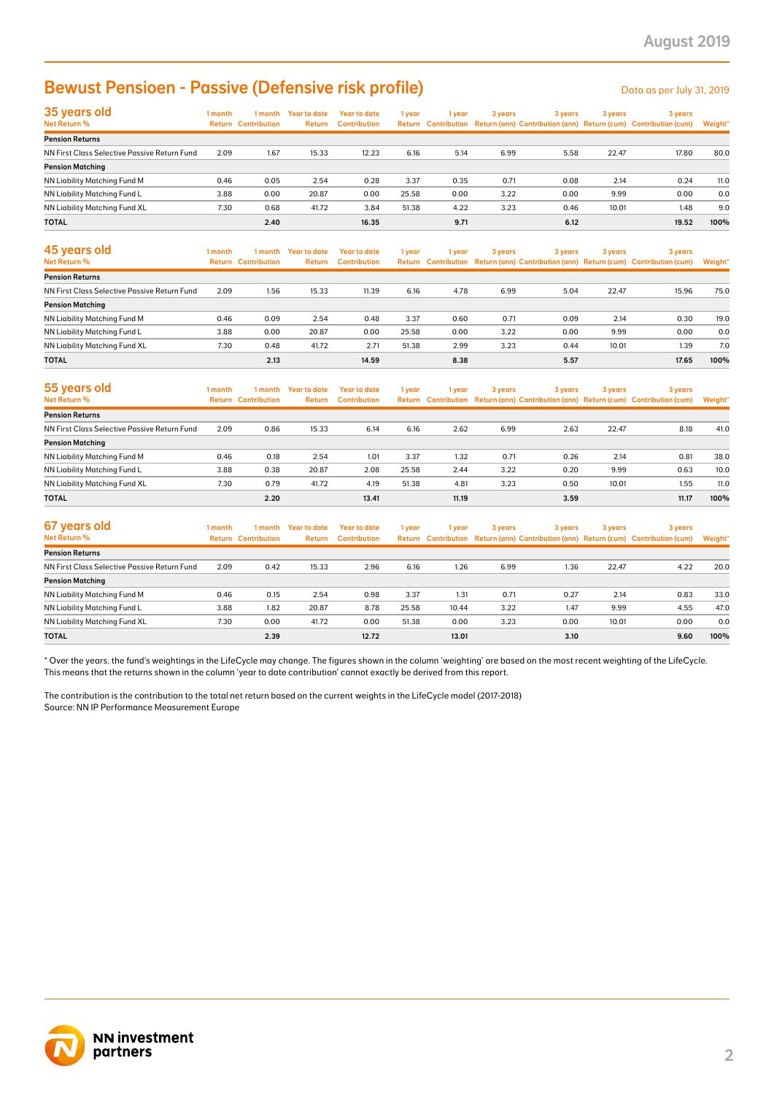# Bewust Pensioen - Passive (Defensive risk profile)

| 35 years old                                 | 1 month | 1 month                    | Year to date | Year to date        | 1 year | 1 year | 3 years | 3 years | 3 years | 3 years                                                                             |         |
|----------------------------------------------|---------|----------------------------|--------------|---------------------|--------|--------|---------|---------|---------|-------------------------------------------------------------------------------------|---------|
| Net Return %                                 |         | <b>Return Contribution</b> | Return       | <b>Contribution</b> |        |        |         |         |         | Return Contribution Return (ann) Contribution (ann) Return (cum) Contribution (cum) | Weight* |
| <b>Pension Returns</b>                       |         |                            |              |                     |        |        |         |         |         |                                                                                     |         |
| NN First Class Selective Passive Return Fund | 2.09    | 1.67                       | 15.33        | 12.23               | 6.16   | 5.14   | 6.99    | 5.58    | 22.47   | 17.80                                                                               | 80.0    |
| <b>Pension Matching</b>                      |         |                            |              |                     |        |        |         |         |         |                                                                                     |         |
| NN Liability Matching Fund M                 | 0.46    | 0.05                       | 2.54         | 0.28                | 3.37   | 0.35   | 0.71    | 0.08    | 2.14    | 0.24                                                                                | 11.0    |
| NN Liability Matching Fund L                 | 3.88    | 0.00                       | 20.87        | 0.00                | 25.58  | 0.00   | 3.22    | 0.00    | 9.99    | 0.00                                                                                | 0.0     |
| NN Liability Matching Fund XL                | 7.30    | 0.68                       | 41.72        | 3.84                | 51.38  | 4.22   | 3.23    | 0.46    | 10.01   | 1.48                                                                                | 9.0     |
| <b>TOTAL</b>                                 |         | 2.40                       |              | 16.35               |        | 9.71   |         | 6.12    |         | 19.52                                                                               | 100%    |

| 45 years old<br>Net Return %                 | 1 month | 1 month<br><b>Return Contribution</b> | Year to date<br><b>Return</b> | Year to date<br><b>Contribution</b> | 1 year | 1 year | 3 years | 3 years | 3 years | 3 years<br>Return Contribution Return (ann) Contribution (ann) Return (cum) Contribution (cum) | Weight* |
|----------------------------------------------|---------|---------------------------------------|-------------------------------|-------------------------------------|--------|--------|---------|---------|---------|------------------------------------------------------------------------------------------------|---------|
| <b>Pension Returns</b>                       |         |                                       |                               |                                     |        |        |         |         |         |                                                                                                |         |
| NN First Class Selective Passive Return Fund | 2.09    | 1.56                                  | 15.33                         | 11.39                               | 6.16   | 4.78   | 6.99    | 5.04    | 22.47   | 15.96                                                                                          | 75.0    |
| <b>Pension Matching</b>                      |         |                                       |                               |                                     |        |        |         |         |         |                                                                                                |         |
| NN Liability Matching Fund M                 | 0.46    | 0.09                                  | 2.54                          | 0.48                                | 3.37   | 0.60   | 0.71    | 0.09    | 2.14    | 0.30                                                                                           | 19.0    |
| NN Liability Matching Fund L                 | 3.88    | 0.00                                  | 20.87                         | 0.00                                | 25.58  | 0.00   | 3.22    | 0.00    | 9.99    | 0.00                                                                                           | 0.0     |
| NN Liability Matching Fund XL                | 7.30    | 0.48                                  | 41.72                         | 2.71                                | 51.38  | 2.99   | 3.23    | 0.44    | 10.01   | 1.39                                                                                           | 7.0     |
| <b>TOTAL</b>                                 |         | 2.13                                  |                               | 14.59                               |        | 8.38   |         | 5.57    |         | 17.65                                                                                          | 100%    |

| 55 years old                                 | 1 month | 1 month                    | <b>Year to date</b> | Year to date        | 1 year | l year | 3 years | 3 years |       | 3 years                                                                             | 3 years |  |
|----------------------------------------------|---------|----------------------------|---------------------|---------------------|--------|--------|---------|---------|-------|-------------------------------------------------------------------------------------|---------|--|
| Net Return %                                 |         | <b>Return Contribution</b> | Return              | <b>Contribution</b> |        |        |         |         |       | Return Contribution Return (ann) Contribution (ann) Return (cum) Contribution (cum) | Weight* |  |
| <b>Pension Returns</b>                       |         |                            |                     |                     |        |        |         |         |       |                                                                                     |         |  |
| NN First Class Selective Passive Return Fund | 2.09    | 0.86                       | 15.33               | 6.14                | 6.16   | 2.62   | 6.99    | 2.63    | 22.47 | 8.18                                                                                | 41.0    |  |
| <b>Pension Matching</b>                      |         |                            |                     |                     |        |        |         |         |       |                                                                                     |         |  |
| NN Liability Matching Fund M                 | 0.46    | 0.18                       | 2.54                | 1.01                | 3.37   | 1.32   | 0.71    | 0.26    | 2.14  | 0.81                                                                                | 38.0    |  |
| NN Liability Matching Fund L                 | 3.88    | 0.38                       | 20.87               | 2.08                | 25.58  | 2.44   | 3.22    | 0.20    | 9.99  | 0.63                                                                                | 10.0    |  |
| NN Liability Matching Fund XL                | 7.30    | 0.79                       | 41.72               | 4.19                | 51.38  | 4.81   | 3.23    | 0.50    | 10.01 | 1.55                                                                                | 11.0    |  |
| <b>TOTAL</b>                                 |         | 2.20                       |                     | 13.41               |        | 11.19  |         | 3.59    |       | 11.17                                                                               | 100%    |  |

| <b>Bewust Pensioen - Passive (Defensive risk profile)</b>                                                                                                                                                                                                                                               |         |                                       |                                |                                            |        |        |         |         |         | Data as per July 31, 2019                                                                      |         |
|---------------------------------------------------------------------------------------------------------------------------------------------------------------------------------------------------------------------------------------------------------------------------------------------------------|---------|---------------------------------------|--------------------------------|--------------------------------------------|--------|--------|---------|---------|---------|------------------------------------------------------------------------------------------------|---------|
| 35 years old<br>Net Return %                                                                                                                                                                                                                                                                            | 1 month | <b>Return Contribution</b>            | 1 month Year to date<br>Return | <b>Year to date</b><br><b>Contribution</b> | 1 year | 1 year | 3 years | 3 years | 3 years | 3 years<br>Return Contribution Return (ann) Contribution (ann) Return (cum) Contribution (cum) | Weight' |
| <b>Pension Returns</b>                                                                                                                                                                                                                                                                                  |         |                                       |                                |                                            |        |        |         |         |         |                                                                                                |         |
| NN First Class Selective Passive Return Fund                                                                                                                                                                                                                                                            | 2.09    | 1.67                                  | 15.33                          | 12.23                                      | 6.16   | 5.14   | 6.99    | 5.58    | 22.47   | 17.80                                                                                          | 80.0    |
| <b>Pension Matching</b>                                                                                                                                                                                                                                                                                 |         |                                       |                                |                                            |        |        |         |         |         |                                                                                                |         |
| NN Liability Matching Fund M                                                                                                                                                                                                                                                                            | 0.46    | 0.05                                  | 2.54                           | 0.28                                       | 3.37   | 0.35   | 0.71    | 0.08    | 2.14    | 0.24                                                                                           | 11.0    |
| NN Liability Matching Fund L                                                                                                                                                                                                                                                                            | 3.88    | 0.00                                  | 20.87                          | 0.00                                       | 25.58  | 0.00   | 3.22    | 0.00    | 9.99    | 0.00                                                                                           | 0.0     |
| NN Liability Matching Fund XL                                                                                                                                                                                                                                                                           | 7.30    | 0.68                                  | 41.72                          | 3.84                                       | 51.38  | 4.22   | 3.23    | 0.46    | 10.01   | 1.48                                                                                           | 9.0     |
| <b>TOTAL</b>                                                                                                                                                                                                                                                                                            |         | 2.40                                  |                                | 16.35                                      |        | 9.71   |         | 6.12    |         | 19.52                                                                                          | 100%    |
| 45 years old<br>Net Return %                                                                                                                                                                                                                                                                            | 1 month | 1 month<br><b>Return Contribution</b> | <b>Year to date</b><br>Return  | <b>Year to date</b><br><b>Contribution</b> | 1 year | 1 year | 3 years | 3 years | 3 years | 3 years<br>Return Contribution Return (ann) Contribution (ann) Return (cum) Contribution (cum) | Weight' |
| <b>Pension Returns</b>                                                                                                                                                                                                                                                                                  |         |                                       |                                |                                            |        |        |         |         |         |                                                                                                |         |
| NN First Class Selective Passive Return Fund                                                                                                                                                                                                                                                            | 2.09    | 1.56                                  | 15.33                          | 11.39                                      | 6.16   | 4.78   | 6.99    | 5.04    | 22.47   | 15.96                                                                                          | 75.0    |
| <b>Pension Matching</b>                                                                                                                                                                                                                                                                                 |         |                                       |                                |                                            |        |        |         |         |         |                                                                                                |         |
| NN Liability Matching Fund M                                                                                                                                                                                                                                                                            | 0.46    | 0.09                                  | 2.54                           | 0.48                                       | 3.37   | 0.60   | 0.71    | 0.09    | 2.14    | 0.30                                                                                           | 19.0    |
| NN Liability Matching Fund L                                                                                                                                                                                                                                                                            | 3.88    | 0.00                                  | 20.87                          | 0.00                                       | 25.58  | 0.00   | 3.22    | 0.00    | 9.99    | 0.00                                                                                           | 0.0     |
| NN Liability Matching Fund XL                                                                                                                                                                                                                                                                           | 7.30    | 0.48                                  | 41.72                          | 2.71                                       | 51.38  | 2.99   | 3.23    | 0.44    | 10.01   | 1.39                                                                                           | 7.0     |
| <b>TOTAL</b>                                                                                                                                                                                                                                                                                            |         | 2.13                                  |                                | 14.59                                      |        | 8.38   |         | 5.57    |         | 17.65                                                                                          | 100%    |
| 55 years old<br>Net Return %                                                                                                                                                                                                                                                                            | 1 month | 1 month<br><b>Return Contribution</b> | <b>Year to date</b><br>Return  | <b>Year to date</b><br><b>Contribution</b> | 1 year | 1 year | 3 years | 3 years | 3 years | 3 years<br>Return Contribution Return (ann) Contribution (ann) Return (cum) Contribution (cum) | Weight* |
| <b>Pension Returns</b>                                                                                                                                                                                                                                                                                  |         |                                       |                                |                                            |        |        |         |         |         |                                                                                                |         |
| NN First Class Selective Passive Return Fund                                                                                                                                                                                                                                                            | 2.09    | 0.86                                  | 15.33                          | 6.14                                       | 6.16   | 2.62   | 6.99    | 2.63    | 22.47   | 8.18                                                                                           | 41.0    |
| <b>Pension Matching</b>                                                                                                                                                                                                                                                                                 |         |                                       |                                |                                            |        |        |         |         |         |                                                                                                |         |
| NN Liability Matching Fund M                                                                                                                                                                                                                                                                            | 0.46    | 0.18                                  | 2.54                           | 1.01                                       | 3.37   | 1.32   | 0.71    | 0.26    | 2.14    | 0.81                                                                                           | 38.0    |
| NN Liability Matching Fund L                                                                                                                                                                                                                                                                            | 3.88    | 0.38                                  | 20.87                          | 2.08                                       | 25.58  | 2.44   | 3.22    | 0.20    | 9.99    | 0.63                                                                                           | 10.0    |
| NN Liability Matching Fund XL                                                                                                                                                                                                                                                                           | 7.30    | 0.79                                  | 41.72                          | 4.19                                       | 51.38  | 4.81   | 3.23    | 0.50    | 10.01   | 1.55                                                                                           | 11.0    |
| <b>TOTAL</b>                                                                                                                                                                                                                                                                                            |         | 2.20                                  |                                | 13.41                                      |        | 11.19  |         | 3.59    |         | 11.17                                                                                          | 100%    |
| 67 years old                                                                                                                                                                                                                                                                                            |         |                                       |                                |                                            |        |        |         |         |         |                                                                                                |         |
| Net Return %                                                                                                                                                                                                                                                                                            | 1 month | 1 month<br><b>Return Contribution</b> | <b>Year to date</b><br>Return  | <b>Year to date</b><br><b>Contribution</b> | 1 year | 1 year | 3 years | 3 years | 3 years | 3 years<br>Return Contribution Return (ann) Contribution (ann) Return (cum) Contribution (cum) | Weight' |
| <b>Pension Returns</b>                                                                                                                                                                                                                                                                                  |         |                                       |                                |                                            |        |        |         |         |         |                                                                                                |         |
| NN First Class Selective Passive Return Fund                                                                                                                                                                                                                                                            | 2.09    | 0.42                                  | 15.33                          | 2.96                                       | 6.16   | 1.26   | 6.99    | 1.36    | 22.47   | 4.22                                                                                           | 20.0    |
| <b>Pension Matching</b>                                                                                                                                                                                                                                                                                 |         |                                       |                                |                                            |        |        |         |         |         |                                                                                                |         |
| <b>NN Liability Matching Fund M</b>                                                                                                                                                                                                                                                                     | 0.46    | 0.15                                  | 2.54                           | 0.98                                       | 3.37   | 1.31   | 0.71    | 0.27    | 2.14    | 0.83                                                                                           | 33.0    |
| NN Liability Matching Fund L                                                                                                                                                                                                                                                                            | 3.88    | 1.82                                  | 20.87                          | 8.78                                       | 25.58  | 10.44  | 3.22    | 1.47    | 9.99    | 4.55                                                                                           | 47.0    |
| NN Liability Matching Fund XL                                                                                                                                                                                                                                                                           | 7.30    | 0.00                                  | 41.72                          | 0.00                                       | 51.38  | 0.00   | 3.23    | 0.00    | 10.01   | 0.00                                                                                           | 0.0     |
| <b>TOTAL</b>                                                                                                                                                                                                                                                                                            |         | 2.39                                  |                                | 12.72                                      |        | 13.01  |         | 3.10    |         | 9.60                                                                                           | 100%    |
| This means that the returns shown in the column 'year to date contribution' cannot exactly be derived from this report.<br>The contribution is the contribution to the total net return based on the current weights in the LifeCycle model (2017-2018)<br>Source: NN IP Performance Measurement Europe |         |                                       |                                |                                            |        |        |         |         |         |                                                                                                |         |
| <b>NN investment</b><br>partners                                                                                                                                                                                                                                                                        |         |                                       |                                |                                            |        |        |         |         |         |                                                                                                |         |

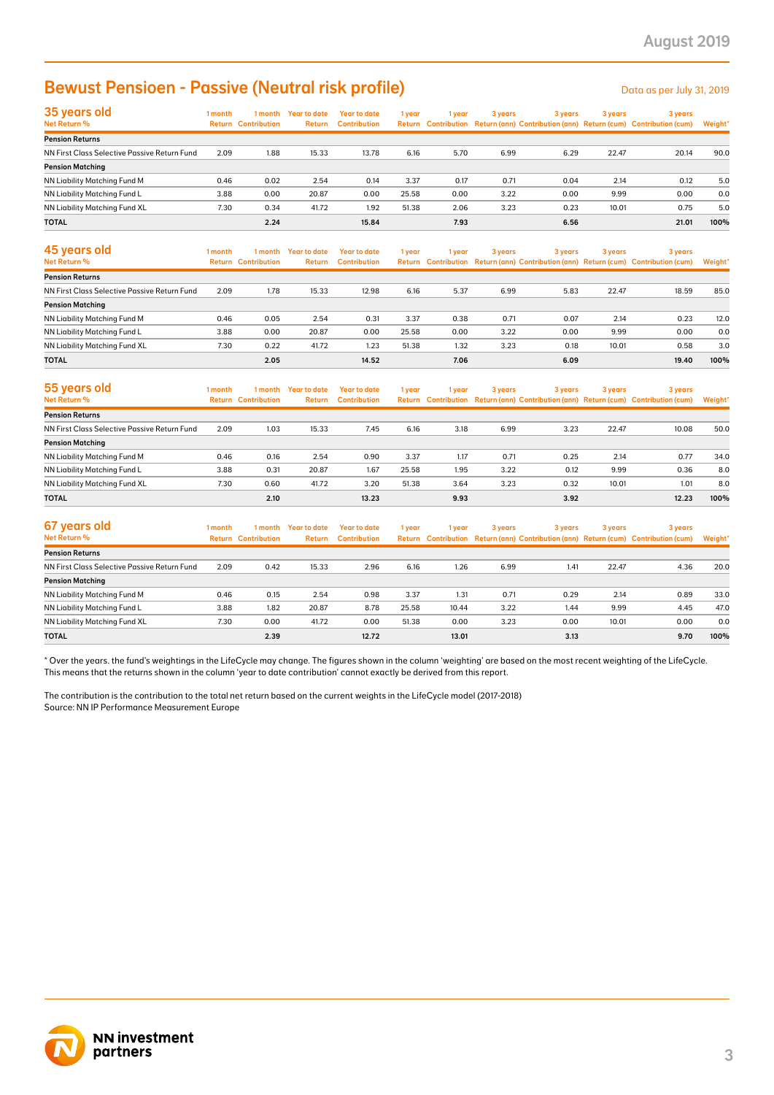# **Bewust Pensioen - Passive (Neutral risk profile)** Data as per July 31, 2019

| 35 years old                                 | 1 month | 1 month                    | Year to date  | <b>Year to date</b> | 1 year | 1 year | 3 years | 3 years | 3 years | 3 years                                                                             |         |
|----------------------------------------------|---------|----------------------------|---------------|---------------------|--------|--------|---------|---------|---------|-------------------------------------------------------------------------------------|---------|
| Net Return %                                 |         | <b>Return Contribution</b> | <b>Return</b> | <b>Contribution</b> |        |        |         |         |         | Return Contribution Return (ann) Contribution (ann) Return (cum) Contribution (cum) | Weight* |
| <b>Pension Returns</b>                       |         |                            |               |                     |        |        |         |         |         |                                                                                     |         |
| NN First Class Selective Passive Return Fund | 2.09    | 1.88                       | 15.33         | 13.78               | 6.16   | 5.70   | 6.99    | 6.29    | 22.47   | 20.14                                                                               | 90.0    |
| <b>Pension Matching</b>                      |         |                            |               |                     |        |        |         |         |         |                                                                                     |         |
| NN Liability Matching Fund M                 | 0.46    | 0.02                       | 2.54          | 0.14                | 3.37   | 0.17   | 0.71    | 0.04    | 2.14    | 0.12                                                                                | 5.0     |
| NN Liability Matching Fund L                 | 3.88    | 0.00                       | 20.87         | 0.00                | 25.58  | 0.00   | 3.22    | 0.00    | 9.99    | 0.00                                                                                | 0.0     |
| NN Liability Matching Fund XL                | 7.30    | 0.34                       | 41.72         | 1.92                | 51.38  | 2.06   | 3.23    | 0.23    | 10.01   | 0.75                                                                                | 5.0     |
| <b>TOTAL</b>                                 |         | 2.24                       |               | 15.84               |        | 7.93   |         | 6.56    |         | 21.01                                                                               | 100%    |

| <b>Bewust Pensioen - Passive (Neutral risk profile)</b>                                                                                                                                                                                                                                                 |         |                                       |                                |                                            |        |        |         |         |         | Data as per July 31, 2019                                                                      |                |
|---------------------------------------------------------------------------------------------------------------------------------------------------------------------------------------------------------------------------------------------------------------------------------------------------------|---------|---------------------------------------|--------------------------------|--------------------------------------------|--------|--------|---------|---------|---------|------------------------------------------------------------------------------------------------|----------------|
| 35 years old<br>Net Return %                                                                                                                                                                                                                                                                            | 1 month | <b>Return Contribution</b>            | 1 month Year to date<br>Return | <b>Year to date</b><br><b>Contribution</b> | 1 year | 1 year | 3 years | 3 years | 3 years | 3 years<br>Return Contribution Return (ann) Contribution (ann) Return (cum) Contribution (cum) | <b>Weight</b>  |
| <b>Pension Returns</b>                                                                                                                                                                                                                                                                                  |         |                                       |                                |                                            |        |        |         |         |         |                                                                                                |                |
| NN First Class Selective Passive Return Fund<br><b>Pension Matching</b>                                                                                                                                                                                                                                 | 2.09    | 1.88                                  | 15.33                          | 13.78                                      | 6.16   | 5.70   | 6.99    | 6.29    | 22.47   | 20.14                                                                                          | 90.0           |
| NN Liability Matching Fund M                                                                                                                                                                                                                                                                            | 0.46    | 0.02                                  | 2.54                           | 0.14                                       | 3.37   | 0.17   | 0.71    | 0.04    | 2.14    | 0.12                                                                                           | 5.0            |
| NN Liability Matching Fund L                                                                                                                                                                                                                                                                            | 3.88    | 0.00                                  | 20.87                          | 0.00                                       | 25.58  | 0.00   | 3.22    | 0.00    | 9.99    | 0.00                                                                                           | 0.0            |
| NN Liability Matching Fund XL                                                                                                                                                                                                                                                                           | 7.30    | 0.34                                  | 41.72                          | 1.92                                       | 51.38  | 2.06   | 3.23    | 0.23    | 10.01   | 0.75                                                                                           | 5.0            |
| TOTAL                                                                                                                                                                                                                                                                                                   |         | 2.24                                  |                                | 15.84                                      |        | 7.93   |         | 6.56    |         | 21.01                                                                                          | 100%           |
| 45 years old<br>Net Return %                                                                                                                                                                                                                                                                            | 1 month | 1 month<br><b>Return Contribution</b> | <b>Year to date</b><br>Return  | <b>Year to date</b><br><b>Contribution</b> | 1 year | 1 year | 3 years | 3 years | 3 years | 3 years<br>Return Contribution Return (ann) Contribution (ann) Return (cum) Contribution (cum) | <b>Weight'</b> |
| <b>Pension Returns</b>                                                                                                                                                                                                                                                                                  |         |                                       |                                |                                            |        |        |         |         |         |                                                                                                |                |
| NN First Class Selective Passive Return Fund                                                                                                                                                                                                                                                            | 2.09    | 1.78                                  | 15.33                          | 12.98                                      | 6.16   | 5.37   | 6.99    | 5.83    | 22.47   | 18.59                                                                                          | 85.0           |
| <b>Pension Matching</b>                                                                                                                                                                                                                                                                                 |         |                                       |                                |                                            |        |        |         |         |         |                                                                                                |                |
| NN Liability Matching Fund M                                                                                                                                                                                                                                                                            | 0.46    | 0.05                                  | 2.54                           | 0.31                                       | 3.37   | 0.38   | 0.71    | 0.07    | 2.14    | 0.23                                                                                           | 12.0           |
| NN Liability Matching Fund L                                                                                                                                                                                                                                                                            | 3.88    | 0.00                                  | 20.87                          | 0.00                                       | 25.58  | 0.00   | 3.22    | 0.00    | 9.99    | 0.00                                                                                           | 0.0            |
| NN Liability Matching Fund XL                                                                                                                                                                                                                                                                           | 7.30    | 0.22                                  | 41.72                          | 1.23                                       | 51.38  | 1.32   | 3.23    | 0.18    | 10.01   | 0.58                                                                                           | 3.0            |
| <b>TOTAL</b>                                                                                                                                                                                                                                                                                            |         | 2.05                                  |                                | 14.52                                      |        | 7.06   |         | 6.09    |         | 19.40                                                                                          | 100%           |
| 55 years old<br>Net Return %                                                                                                                                                                                                                                                                            | 1 month | 1 month<br><b>Return Contribution</b> | <b>Year to date</b><br>Return  | <b>Year to date</b><br><b>Contribution</b> | 1 year | 1 year | 3 years | 3 years | 3 years | 3 years<br>Return Contribution Return (ann) Contribution (ann) Return (cum) Contribution (cum) | Weight'        |
| <b>Pension Returns</b>                                                                                                                                                                                                                                                                                  |         |                                       |                                |                                            |        |        |         |         |         |                                                                                                |                |
| NN First Class Selective Passive Return Fund                                                                                                                                                                                                                                                            | 2.09    | 1.03                                  | 15.33                          | 7.45                                       | 6.16   | 3.18   | 6.99    | 3.23    | 22.47   | 10.08                                                                                          | 50.0           |
| <b>Pension Matching</b>                                                                                                                                                                                                                                                                                 |         |                                       |                                |                                            |        |        |         |         |         |                                                                                                |                |
| NN Liability Matching Fund M                                                                                                                                                                                                                                                                            | 0.46    | 0.16                                  | 2.54                           | 0.90                                       | 3.37   | 1.17   | 0.71    | 0.25    | 2.14    | 0.77                                                                                           | 34.0           |
| NN Liability Matching Fund L                                                                                                                                                                                                                                                                            | 3.88    | 0.31                                  | 20.87                          | 1.67                                       | 25.58  | 1.95   | 3.22    | 0.12    | 9.99    | 0.36                                                                                           | 8.0            |
| NN Liability Matching Fund XL                                                                                                                                                                                                                                                                           | 7.30    | 0.60                                  | 41.72                          | 3.20                                       | 51.38  | 3.64   | 3.23    | 0.32    | 10.01   | 1.01                                                                                           | 8.0            |
| <b>TOTAL</b>                                                                                                                                                                                                                                                                                            |         | 2.10                                  |                                | 13.23                                      |        | 9.93   |         | 3.92    |         | 12.23                                                                                          | 100%           |
| 67 years old<br>Net Return %                                                                                                                                                                                                                                                                            | 1 month | 1 month<br><b>Return Contribution</b> | <b>Year to date</b><br>Return  | <b>Year to date</b><br><b>Contribution</b> | 1 year | 1 year | 3 years | 3 years | 3 years | 3 years<br>Return Contribution Return (ann) Contribution (ann) Return (cum) Contribution (cum) | Weight'        |
| <b>Pension Returns</b>                                                                                                                                                                                                                                                                                  |         |                                       |                                |                                            |        |        |         |         |         |                                                                                                |                |
| NN First Class Selective Passive Return Fund                                                                                                                                                                                                                                                            | 2.09    | 0.42                                  | 15.33                          | 2.96                                       | 6.16   | 1.26   | 6.99    | 1.41    | 22.47   | 4.36                                                                                           | 20.0           |
| <b>Pension Matching</b>                                                                                                                                                                                                                                                                                 |         |                                       |                                |                                            |        |        |         |         |         |                                                                                                |                |
| NN Liability Matching Fund M                                                                                                                                                                                                                                                                            | 0.46    | 0.15                                  | 2.54                           | 0.98                                       | 3.37   | 1.31   | 0.71    | 0.29    | 2.14    | 0.89                                                                                           | 33.0           |
| NN Liability Matching Fund L                                                                                                                                                                                                                                                                            | 3.88    | 1.82                                  | 20.87                          | 8.78                                       | 25.58  | 10.44  | 3.22    | 1.44    | 9.99    | 4.45                                                                                           | 47.0           |
| NN Liability Matching Fund XL                                                                                                                                                                                                                                                                           | 7.30    | 0.00                                  | 41.72                          | 0.00                                       | 51.38  | 0.00   | 3.23    | 0.00    | 10.01   | 0.00                                                                                           | 0.0            |
| TOTAL                                                                                                                                                                                                                                                                                                   |         | 2.39                                  |                                | 12.72                                      |        | 13.01  |         | 3.13    |         | 9.70                                                                                           | 100%           |
| This means that the returns shown in the column 'year to date contribution' cannot exactly be derived from this report.<br>The contribution is the contribution to the total net return based on the current weights in the LifeCycle model (2017-2018)<br>Source: NN IP Performance Measurement Europe |         |                                       |                                |                                            |        |        |         |         |         |                                                                                                |                |
| <b>NN investment</b><br>partners                                                                                                                                                                                                                                                                        |         |                                       |                                |                                            |        |        |         |         |         |                                                                                                |                |

| 55 years old<br>Net Return %                 | 1 month<br>Return | 1 month<br><b>Contribution</b> | <b>Year to date</b><br>Return | Year to date<br><b>Contribution</b> | 1 year | 1 year | 3 years | 3 years | 3 years | 3 years<br>Return Contribution Return (ann) Contribution (ann) Return (cum) Contribution (cum) | Weight* |
|----------------------------------------------|-------------------|--------------------------------|-------------------------------|-------------------------------------|--------|--------|---------|---------|---------|------------------------------------------------------------------------------------------------|---------|
| <b>Pension Returns</b>                       |                   |                                |                               |                                     |        |        |         |         |         |                                                                                                |         |
| NN First Class Selective Passive Return Fund | 2.09              | 1.03                           | 15.33                         | 7.45                                | 6.16   | 3.18   | 6.99    | 3.23    | 22.47   | 10.08                                                                                          | 50.0    |
| <b>Pension Matching</b>                      |                   |                                |                               |                                     |        |        |         |         |         |                                                                                                |         |
| NN Liability Matching Fund M                 | 0.46              | 0.16                           | 2.54                          | 0.90                                | 3.37   | 1.17   | 0.71    | 0.25    | 2.14    | 0.77                                                                                           | 34.0    |
| NN Liability Matching Fund L                 | 3.88              | 0.31                           | 20.87                         | 1.67                                | 25.58  | 1.95   | 3.22    | 0.12    | 9.99    | 0.36                                                                                           | 8.0     |
| NN Liability Matching Fund XL                | 7.30              | 0.60                           | 41.72                         | 3.20                                | 51.38  | 3.64   | 3.23    | 0.32    | 10.01   | 1.01                                                                                           | 8.0     |
| <b>TOTAL</b>                                 |                   | 2.10                           |                               | 13.23                               |        | 9.93   |         | 3.92    |         | 12.23                                                                                          | 100%    |

| 67 years old<br>Net Return %                 | 1 month | 1 month<br><b>Return Contribution</b> | Year to date<br>Return | Year to date<br><b>Contribution</b> | 1 vear | 1 vear | 3 years | 3 years | 3 years | 3 years<br>Return Contribution Return (ann) Contribution (ann) Return (cum) Contribution (cum) | Weight* |
|----------------------------------------------|---------|---------------------------------------|------------------------|-------------------------------------|--------|--------|---------|---------|---------|------------------------------------------------------------------------------------------------|---------|
| <b>Pension Returns</b>                       |         |                                       |                        |                                     |        |        |         |         |         |                                                                                                |         |
| NN First Class Selective Passive Return Fund | 2.09    | 0.42                                  | 15.33                  | 2.96                                | 6.16   | 1.26   | 6.99    | 1.41    | 22.47   | 4.36                                                                                           | 20.0    |
| <b>Pension Matching</b>                      |         |                                       |                        |                                     |        |        |         |         |         |                                                                                                |         |
| NN Liability Matching Fund M                 | 0.46    | 0.15                                  | 2.54                   | 0.98                                | 3.37   | 1.31   | 0.71    | 0.29    | 2.14    | 0.89                                                                                           | 33.0    |
| NN Liability Matching Fund L                 | 3.88    | 1.82                                  | 20.87                  | 8.78                                | 25.58  | 10.44  | 3.22    | 1.44    | 9.99    | 4.45                                                                                           | 47.0    |
| NN Liability Matching Fund XL                | 7.30    | 0.00                                  | 41.72                  | 0.00                                | 51.38  | 0.00   | 3.23    | 0.00    | 10.01   | 0.00                                                                                           | 0.0     |
| <b>TOTAL</b>                                 |         | 2.39                                  |                        | 12.72                               |        | 13.01  |         | 3.13    |         | 9.70                                                                                           | 100%    |